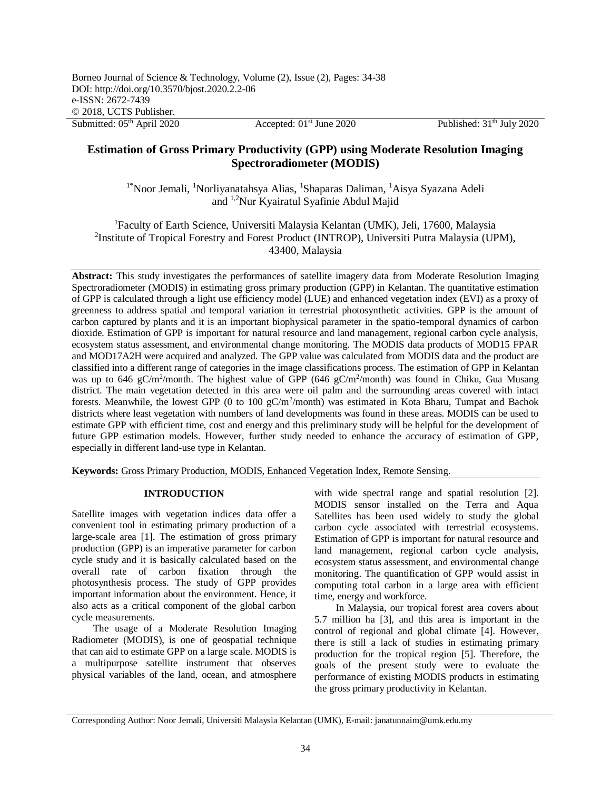Published:  $31<sup>th</sup>$  July 2020

# **Estimation of Gross Primary Productivity (GPP) using Moderate Resolution Imaging Spectroradiometer (MODIS)**

<sup>1\*</sup>Noor Jemali, <sup>1</sup>Norliyanatahsya Alias, <sup>1</sup>Shaparas Daliman, <sup>1</sup>Aisya Syazana Adeli and 1,2Nur Kyairatul Syafinie Abdul Majid

<sup>1</sup>Faculty of Earth Science, Universiti Malaysia Kelantan (UMK), Jeli, 17600, Malaysia <sup>2</sup>Institute of Tropical Forestry and Forest Product (INTROP), Universiti Putra Malaysia (UPM), 43400, Malaysia

**Abstract:** This study investigates the performances of satellite imagery data from Moderate Resolution Imaging Spectroradiometer (MODIS) in estimating gross primary production (GPP) in Kelantan. The quantitative estimation of GPP is calculated through a light use efficiency model (LUE) and enhanced vegetation index (EVI) as a proxy of greenness to address spatial and temporal variation in terrestrial photosynthetic activities. GPP is the amount of carbon captured by plants and it is an important biophysical parameter in the spatio-temporal dynamics of carbon dioxide. Estimation of GPP is important for natural resource and land management, regional carbon cycle analysis, ecosystem status assessment, and environmental change monitoring. The MODIS data products of MOD15 FPAR and MOD17A2H were acquired and analyzed. The GPP value was calculated from MODIS data and the product are classified into a different range of categories in the image classifications process. The estimation of GPP in Kelantan was up to 646 gC/m<sup>2</sup>/month. The highest value of GPP (646 gC/m<sup>2</sup>/month) was found in Chiku, Gua Musang district. The main vegetation detected in this area were oil palm and the surrounding areas covered with intact forests. Meanwhile, the lowest GPP (0 to 100  $gC/m^2/m$ onth) was estimated in Kota Bharu, Tumpat and Bachok districts where least vegetation with numbers of land developments was found in these areas. MODIS can be used to estimate GPP with efficient time, cost and energy and this preliminary study will be helpful for the development of future GPP estimation models. However, further study needed to enhance the accuracy of estimation of GPP, especially in different land-use type in Kelantan.

**Keywords:** Gross Primary Production, MODIS, Enhanced Vegetation Index, Remote Sensing.

# **INTRODUCTION**

Satellite images with vegetation indices data offer a convenient tool in estimating primary production of a large-scale area [1]. The estimation of gross primary production (GPP) is an imperative parameter for carbon cycle study and it is basically calculated based on the overall rate of carbon fixation through the photosynthesis process. The study of GPP provides important information about the environment. Hence, it also acts as a critical component of the global carbon cycle measurements.

The usage of a Moderate Resolution Imaging Radiometer (MODIS), is one of geospatial technique that can aid to estimate GPP on a large scale. MODIS is a multipurpose satellite instrument that observes physical variables of the land, ocean, and atmosphere

with wide spectral range and spatial resolution [2]. MODIS sensor installed on the Terra and Aqua Satellites has been used widely to study the global carbon cycle associated with terrestrial ecosystems. Estimation of GPP is important for natural resource and land management, regional carbon cycle analysis, ecosystem status assessment, and environmental change monitoring. The quantification of GPP would assist in computing total carbon in a large area with efficient time, energy and workforce.

In Malaysia, our tropical forest area covers about 5.7 million ha [3], and this area is important in the control of regional and global climate [4]. However, there is still a lack of studies in estimating primary production for the tropical region [5]. Therefore, the goals of the present study were to evaluate the performance of existing MODIS products in estimating the gross primary productivity in Kelantan.

Corresponding Author: Noor Jemali, Universiti Malaysia Kelantan (UMK), E-mail: janatunnaim@umk.edu.my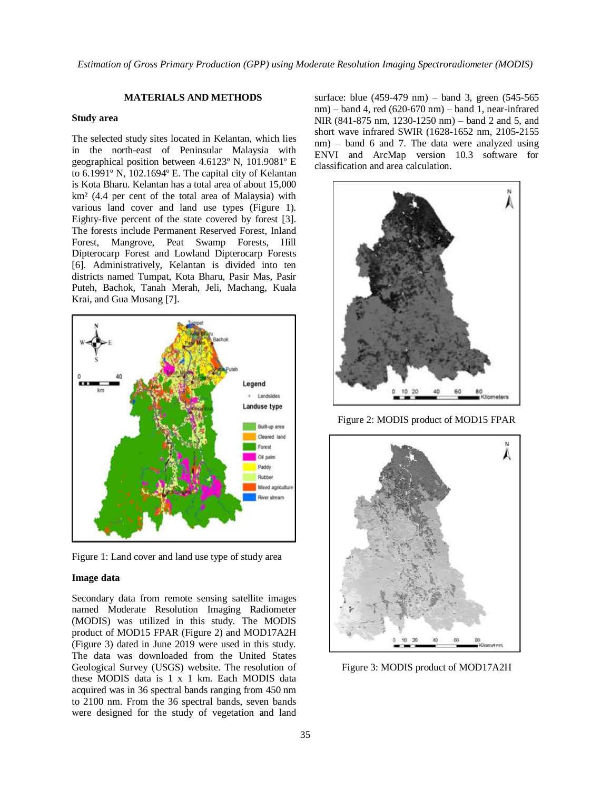# **MATERIALS AND METHODS**

#### **Study area**

The selected study sites located in Kelantan, which lies in the north-east of Peninsular Malaysia with geographical position between 4.6123º N, 101.9081º E to 6.1991º N, 102.1694º E. The capital city of Kelantan is Kota Bharu. Kelantan has a total area of about 15,000 km² (4.4 per cent of the total area of Malaysia) with various land cover and land use types (Figure 1). Eighty-five percent of the state covered by forest [3]. The forests include Permanent Reserved Forest, Inland Forest, Mangrove, Peat Swamp Forests, Hill Dipterocarp Forest and Lowland Dipterocarp Forests [6]. Administratively, Kelantan is divided into ten districts named Tumpat, Kota Bharu, Pasir Mas, Pasir Puteh, Bachok, Tanah Merah, Jeli, Machang, Kuala Krai, and Gua Musang [7].



Figure 1: Land cover and land use type of study area

#### **Image data**

Secondary data from remote sensing satellite images named Moderate Resolution Imaging Radiometer (MODIS) was utilized in this study. The MODIS product of MOD15 FPAR (Figure 2) and MOD17A2H (Figure 3) dated in June 2019 were used in this study. The data was downloaded from the United States Geological Survey (USGS) website. The resolution of these MODIS data is 1 x 1 km. Each MODIS data acquired was in 36 spectral bands ranging from 450 nm to 2100 nm. From the 36 spectral bands, seven bands were designed for the study of vegetation and land

surface: blue (459-479 nm) – band 3, green (545-565 nm) – band 4, red (620-670 nm) – band 1, near-infrared NIR (841-875 nm, 1230-1250 nm) – band 2 and 5, and short wave infrared SWIR (1628-1652 nm, 2105-2155 nm) – band 6 and 7. The data were analyzed using ENVI and ArcMap version 10.3 software for classification and area calculation.



Figure 2: MODIS product of MOD15 FPAR



Figure 3: MODIS product of MOD17A2H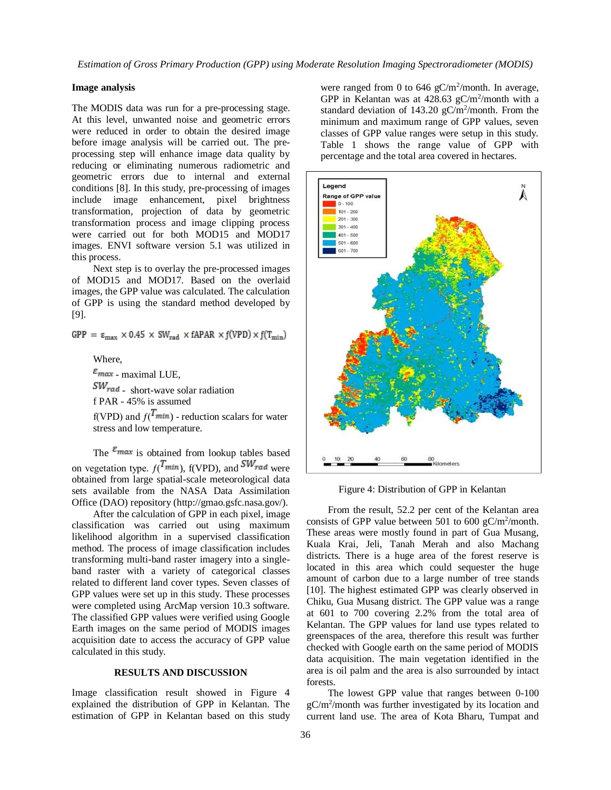*Estimation of Gross Primary Production (GPP) using Moderate Resolution Imaging Spectroradiometer (MODIS)*

### **Image analysis**

The MODIS data was run for a pre-processing stage. At this level, unwanted noise and geometric errors were reduced in order to obtain the desired image before image analysis will be carried out. The preprocessing step will enhance image data quality by reducing or eliminating numerous radiometric and geometric errors due to internal and external conditions [8]. In this study, pre-processing of images include image enhancement, pixel brightness transformation, projection of data by geometric transformation process and image clipping process were carried out for both MOD15 and MOD17 images. ENVI software version 5.1 was utilized in this process.

Next step is to overlay the pre-processed images of MOD15 and MOD17. Based on the overlaid images, the GPP value was calculated. The calculation of GPP is using the standard method developed by [9].

GPP =  $\varepsilon_{\text{max}} \times 0.45 \times \text{SW}_{\text{rad}} \times \text{fAPAR} \times \text{f(VPD)} \times \text{f(T}_{\text{min}})$ 

Where,

 $\varepsilon_{max}$  - maximal LUE.  $SW_{rad}$  - short-wave solar radiation f PAR - 45% is assumed

f(VPD) and  $f(T_{min})$  - reduction scalars for water stress and low temperature.

The  $\varepsilon_{max}$  is obtained from lookup tables based on vegetation type.  $f(T_{min})$ ,  $f(VPD)$ , and  $SW_{rad}$  were obtained from large spatial-scale meteorological data sets available from the NASA Data Assimilation Office (DAO) repository (http://gmao.gsfc.nasa.gov/).

After the calculation of GPP in each pixel, image classification was carried out using maximum likelihood algorithm in a supervised classification method. The process of image classification includes transforming multi-band raster imagery into a singleband raster with a variety of categorical classes related to different land cover types. Seven classes of GPP values were set up in this study. These processes were completed using ArcMap version 10.3 software. The classified GPP values were verified using Google Earth images on the same period of MODIS images acquisition date to access the accuracy of GPP value calculated in this study.

# **RESULTS AND DISCUSSION**

Image classification result showed in Figure 4 explained the distribution of GPP in Kelantan. The estimation of GPP in Kelantan based on this study

were ranged from 0 to 646  $gC/m^2$ /month. In average, GPP in Kelantan was at  $428.63$  gC/m<sup>2</sup>/month with a standard deviation of  $143.20 \text{ gC/m}^2/\text{month}$ . From the minimum and maximum range of GPP values, seven classes of GPP value ranges were setup in this study. Table 1 shows the range value of GPP with percentage and the total area covered in hectares.



Figure 4: Distribution of GPP in Kelantan

From the result, 52.2 per cent of the Kelantan area consists of GPP value between 501 to 600  $gC/m^2$ /month. These areas were mostly found in part of Gua Musang, Kuala Krai, Jeli, Tanah Merah and also Machang districts. There is a huge area of the forest reserve is located in this area which could sequester the huge amount of carbon due to a large number of tree stands [10]. The highest estimated GPP was clearly observed in Chiku, Gua Musang district. The GPP value was a range at 601 to 700 covering 2.2% from the total area of Kelantan. The GPP values for land use types related to greenspaces of the area, therefore this result was further checked with Google earth on the same period of MODIS data acquisition. The main vegetation identified in the area is oil palm and the area is also surrounded by intact forests.

The lowest GPP value that ranges between 0-100 gC/m<sup>2</sup> /month was further investigated by its location and current land use. The area of Kota Bharu, Tumpat and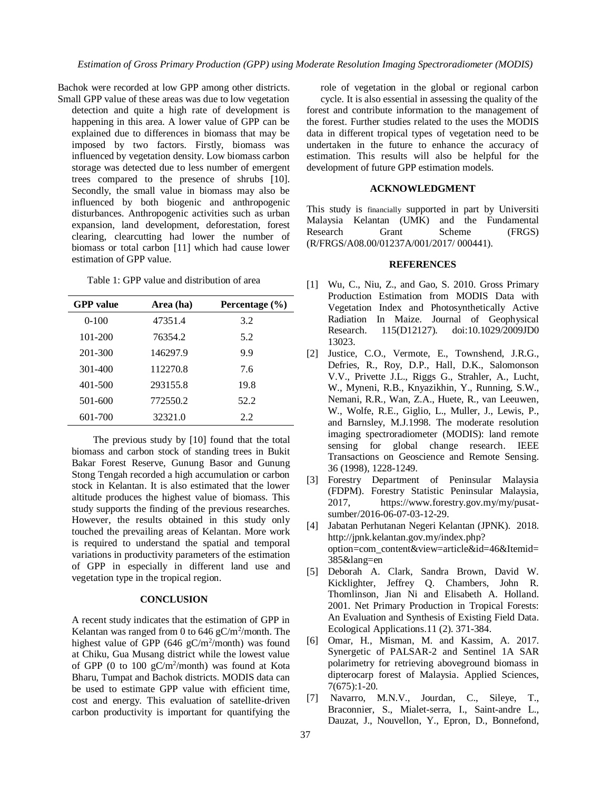Bachok were recorded at low GPP among other districts. Small GPP value of these areas was due to low vegetation

detection and quite a high rate of development is happening in this area. A lower value of GPP can be explained due to differences in biomass that may be imposed by two factors. Firstly, biomass was influenced by vegetation density. Low biomass carbon storage was detected due to less number of emergent trees compared to the presence of shrubs [10]. Secondly, the small value in biomass may also be influenced by both biogenic and anthropogenic disturbances. Anthropogenic activities such as urban expansion, land development, deforestation, forest clearing, clearcutting had lower the number of biomass or total carbon [11] which had cause lower estimation of GPP value.

Table 1: GPP value and distribution of area

| <b>GPP</b> value | Area (ha) | Percentage (%) |
|------------------|-----------|----------------|
| $0-100$          | 47351.4   | 3.2            |
| 101-200          | 76354.2   | 5.2            |
| 201-300          | 146297.9  | 9.9            |
| 301-400          | 112270.8  | 7.6            |
| 401-500          | 293155.8  | 19.8           |
| 501-600          | 772550.2  | 52.2           |
| 601-700          | 32321.0   | 2.2            |

The previous study by [10] found that the total biomass and carbon stock of standing trees in Bukit Bakar Forest Reserve, Gunung Basor and Gunung Stong Tengah recorded a high accumulation or carbon stock in Kelantan. It is also estimated that the lower altitude produces the highest value of biomass. This study supports the finding of the previous researches. However, the results obtained in this study only touched the prevailing areas of Kelantan. More work is required to understand the spatial and temporal variations in productivity parameters of the estimation of GPP in especially in different land use and vegetation type in the tropical region.

### **CONCLUSION**

A recent study indicates that the estimation of GPP in Kelantan was ranged from 0 to  $646$  gC/m<sup>2</sup>/month. The highest value of GPP  $(646 \text{ gC/m}^2/\text{month})$  was found at Chiku, Gua Musang district while the lowest value of GPP (0 to 100 gC/m<sup>2</sup> /month) was found at Kota Bharu, Tumpat and Bachok districts. MODIS data can be used to estimate GPP value with efficient time, cost and energy. This evaluation of satellite-driven carbon productivity is important for quantifying the

role of vegetation in the global or regional carbon cycle. It is also essential in assessing the quality of the forest and contribute information to the management of the forest. Further studies related to the uses the MODIS data in different tropical types of vegetation need to be undertaken in the future to enhance the accuracy of estimation. This results will also be helpful for the development of future GPP estimation models.

## **ACKNOWLEDGMENT**

This study is financially supported in part by Universiti Malaysia Kelantan (UMK) and the Fundamental Research Grant Scheme (FRGS) (R/FRGS/A08.00/01237A/001/2017/ 000441).

#### **REFERENCES**

- [1] Wu, C., Niu, Z., and Gao, S. 2010. Gross Primary Production Estimation from MODIS Data with Vegetation Index and Photosynthetically Active Radiation In Maize. Journal of Geophysical Research. 115(D12127). doi:10.1029/2009JD0 13023.
- [2] Justice, C.O., Vermote, E., Townshend, J.R.G., Defries, R., Roy, D.P., Hall, D.K., Salomonson V.V., Privette J.L., Riggs G., Strahler, A., Lucht, W., Myneni, R.B., Knyazikhin, Y., Running, S.W., Nemani, R.R., Wan, Z.A., Huete, R., van Leeuwen, W., Wolfe, R.E., Giglio, L., Muller, J., Lewis, P., and Barnsley, M.J.1998. The moderate resolution imaging spectroradiometer (MODIS): land remote sensing for global change research. IEEE Transactions on Geoscience and Remote Sensing. 36 (1998), 1228-1249.
- [3] Forestry Department of Peninsular Malaysia (FDPM). Forestry Statistic Peninsular Malaysia, 2017, https://www.forestry.gov.my/my/pusatsumber/2016-06-07-03-12-29.
- [4] Jabatan Perhutanan Negeri Kelantan (JPNK). 2018. http://jpnk.kelantan.gov.my/index.php? option=com\_content&view=article&id=46&Itemid= 385&lang=en
- [5] Deborah A. Clark, Sandra Brown, David W. Kicklighter, Jeffrey Q. Chambers, John R. Thomlinson, Jian Ni and Elisabeth A. Holland. 2001. Net Primary Production in Tropical Forests: An Evaluation and Synthesis of Existing Field Data. Ecological Applications.11 (2). 371-384.
- [6] Omar, H., Misman, M. and Kassim, A. 2017. Synergetic of PALSAR-2 and Sentinel 1A SAR polarimetry for retrieving aboveground biomass in dipterocarp forest of Malaysia. Applied Sciences, 7(675):1-20.
- [7] Navarro, M.N.V., Jourdan, C., Sileye, T., Braconnier, S., Mialet-serra, I., Saint-andre L., Dauzat, J., Nouvellon, Y., Epron, D., Bonnefond,